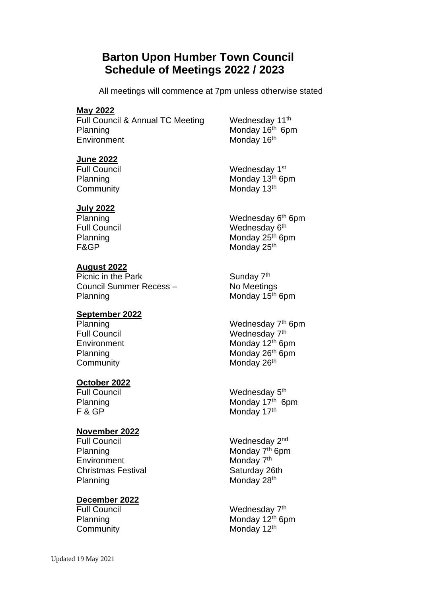# **Barton Upon Humber Town Council Schedule of Meetings 2022 / 2023**

All meetings will commence at 7pm unless otherwise stated

### **May 2022**

Full Council & Annual TC Meeting Planning Monday 16<sup>th</sup> 6pm Environment Monday 16<sup>th</sup>

Wednesday 11<sup>th</sup>

# **June 2022**

Community

## **July 2022**

## **August 2022**

Picnic in the Park Sunday 7<sup>th</sup> Council Summer Recess – No Meetings Planning Monday 15<sup>th</sup> 6pm

## **September 2022**

Community

## **October 2022**

# **November 2022**

Full Council **Example 2** Mednesday 2<sup>nd</sup> Planning Monday 7<sup>th</sup> 6pm **Environment** Christmas Festival Saturday 26th Planning Monday 28<sup>th</sup>

# **December 2022**

Full Council **Example 2** Wednesday 1st Planning Monday 13<sup>th</sup> 6pm Monday 13th

Planning Wednesday 6<sup>th</sup> 6pm Full Council **Example 2** Wednesday 6<sup>th</sup> Planning Monday 25<sup>th</sup> 6pm F&GP Monday 25<sup>th</sup>

Planning Wednesday 7<sup>th</sup> 6pm Full Council **Example 2** Wednesday 7<sup>th</sup> Environment Monday 12<sup>th</sup> 6pm Planning Monday 26<sup>th</sup> 6pm Monday 26<sup>th</sup>

Full Council **Example 2** Wednesday 5<sup>th</sup> Planning Monday 17<sup>th</sup> 6pm F & GP Monday 17<sup>th</sup>

Monday 7<sup>th</sup>

Full Council **Example 2** Wednesday 7<sup>th</sup> Planning Monday 12<sup>th</sup> 6pm Community Monday 12<sup>th</sup>